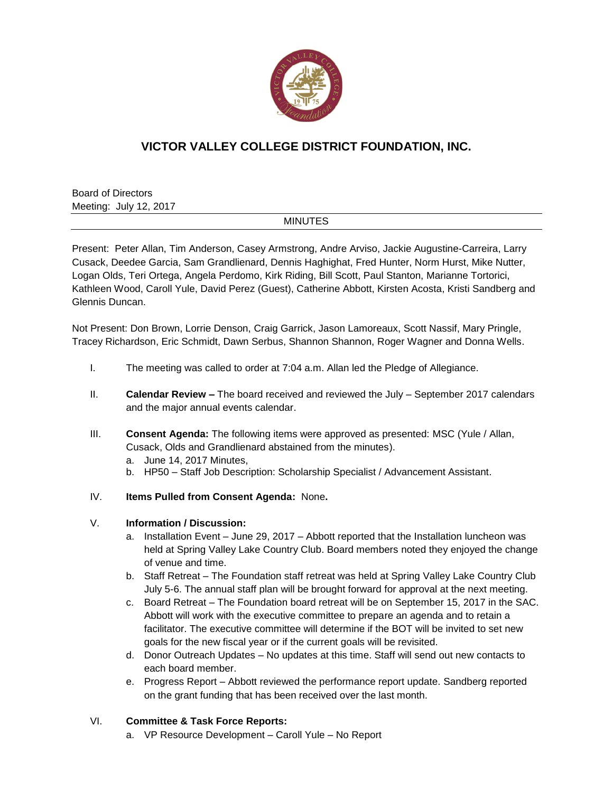

## **VICTOR VALLEY COLLEGE DISTRICT FOUNDATION, INC.**

Board of Directors Meeting: July 12, 2017

## MINUTES

Present: Peter Allan, Tim Anderson, Casey Armstrong, Andre Arviso, Jackie Augustine-Carreira, Larry Cusack, Deedee Garcia, Sam Grandlienard, Dennis Haghighat, Fred Hunter, Norm Hurst, Mike Nutter, Logan Olds, Teri Ortega, Angela Perdomo, Kirk Riding, Bill Scott, Paul Stanton, Marianne Tortorici, Kathleen Wood, Caroll Yule, David Perez (Guest), Catherine Abbott, Kirsten Acosta, Kristi Sandberg and Glennis Duncan.

Not Present: Don Brown, Lorrie Denson, Craig Garrick, Jason Lamoreaux, Scott Nassif, Mary Pringle, Tracey Richardson, Eric Schmidt, Dawn Serbus, Shannon Shannon, Roger Wagner and Donna Wells.

- I. The meeting was called to order at 7:04 a.m. Allan led the Pledge of Allegiance.
- II. **Calendar Review –** The board received and reviewed the July September 2017 calendars and the major annual events calendar.
- III. **Consent Agenda:** The following items were approved as presented: MSC (Yule / Allan, Cusack, Olds and Grandlienard abstained from the minutes).
	- a. June 14, 2017 Minutes,
	- b. HP50 Staff Job Description: Scholarship Specialist / Advancement Assistant.
- IV. **Items Pulled from Consent Agenda:** None**.**

## V. **Information / Discussion:**

- a. Installation Event June 29, 2017 Abbott reported that the Installation luncheon was held at Spring Valley Lake Country Club. Board members noted they enjoyed the change of venue and time.
- b. Staff Retreat The Foundation staff retreat was held at Spring Valley Lake Country Club July 5-6. The annual staff plan will be brought forward for approval at the next meeting.
- c. Board Retreat The Foundation board retreat will be on September 15, 2017 in the SAC. Abbott will work with the executive committee to prepare an agenda and to retain a facilitator. The executive committee will determine if the BOT will be invited to set new goals for the new fiscal year or if the current goals will be revisited.
- d. Donor Outreach Updates No updates at this time. Staff will send out new contacts to each board member.
- e. Progress Report Abbott reviewed the performance report update. Sandberg reported on the grant funding that has been received over the last month.

## VI. **Committee & Task Force Reports:**

a. VP Resource Development – Caroll Yule – No Report